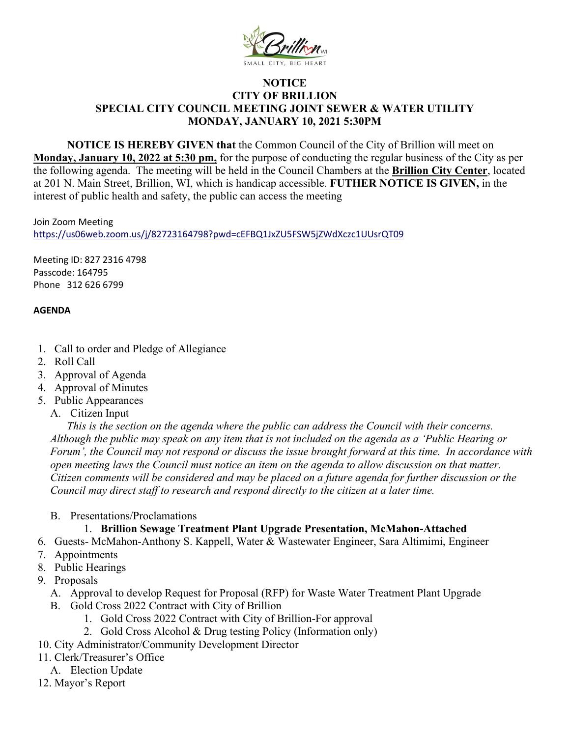

## **NOTICE CITY OF BRILLION SPECIAL CITY COUNCIL MEETING JOINT SEWER & WATER UTILITY MONDAY, JANUARY 10, 2021 5:30PM**

**NOTICE IS HEREBY GIVEN that** the Common Council of the City of Brillion will meet on **Monday, January 10, 2022 at 5:30 pm,** for the purpose of conducting the regular business of the City as per the following agenda. The meeting will be held in the Council Chambers at the **Brillion City Center**, located at 201 N. Main Street, Brillion, WI, which is handicap accessible. **FUTHER NOTICE IS GIVEN,** in the interest of public health and safety, the public can access the meeting

Join Zoom Meeting <https://us06web.zoom.us/j/82723164798?pwd=cEFBQ1JxZU5FSW5jZWdXczc1UUsrQT09>

Meeting ID: 827 2316 4798 Passcode: 164795 Phone 312 626 6799

## **AGENDA**

- 1. Call to order and Pledge of Allegiance
- 2. Roll Call
- 3. Approval of Agenda
- 4. Approval of Minutes
- 5. Public Appearances
	- A. Citizen Input

*This is the section on the agenda where the public can address the Council with their concerns. Although the public may speak on any item that is not included on the agenda as a 'Public Hearing or Forum', the Council may not respond or discuss the issue brought forward at this time. In accordance with open meeting laws the Council must notice an item on the agenda to allow discussion on that matter. Citizen comments will be considered and may be placed on a future agenda for further discussion or the Council may direct staff to research and respond directly to the citizen at a later time.* 

B. Presentations/Proclamations

## 1. **Brillion Sewage Treatment Plant Upgrade Presentation, McMahon-Attached**

- 6. Guests- McMahon-Anthony S. Kappell, Water & Wastewater Engineer, Sara Altimimi, Engineer
- 7. Appointments
- 8. Public Hearings
- 9. Proposals
	- A. Approval to develop Request for Proposal (RFP) for Waste Water Treatment Plant Upgrade
	- B. Gold Cross 2022 Contract with City of Brillion
		- 1. Gold Cross 2022 Contract with City of Brillion-For approval
		- 2. Gold Cross Alcohol & Drug testing Policy (Information only)
- 10. City Administrator/Community Development Director
- 11. Clerk/Treasurer's Office
- A. Election Update
- 12. Mayor's Report